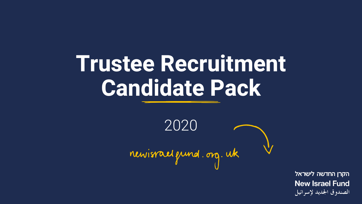# **Trustee Recruitment Candidate Pack**

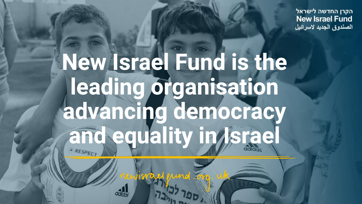הקרן החדשה לישראל **New Israel Fund** الصندوق الجديد لاسرائيل

# **New Israel Fund is the leading organisation advancing democracy and equality in Israel**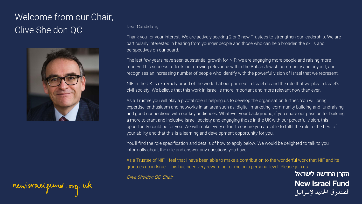### Welcome from our Chair, Clive Sheldon QC



## newisrael gund. org. uk

#### Dear Candidate,

Thank you for your interest. We are actively seeking 2 or 3 new Trustees to strengthen our leadership. We are particularly interested in hearing from younger people and those who can help broaden the skills and perspectives on our board.

The last few years have seen substantial growth for NIF; we are engaging more people and raising more money. This success reflects our growing relevance within the British Jewish community and beyond, and recognises an increasing number of people who identify with the powerful vision of Israel that we represent.

NIF in the UK is extremely proud of the work that our partners in Israel do and the role that we play in Israel's civil society. We believe that this work in Israel is more important and more relevant now than ever.

As a Trustee you will play a pivotal role in helping us to develop the organisation further. You will bring expertise, enthusiasm and networks in an area such as: digital, marketing, community building and fundraising and good connections with our key audiences. Whatever your background, if you share our passion for building a more tolerant and inclusive Israeli society and engaging those in the UK with our powerful vision, this opportunity could be for you. We will make every effort to ensure you are able to fulfil the role to the best of your ability and that this is a learning and development opportunity for you.

You'll find the role specification and details of how to apply below. We would be delighted to talk to you informally about the role and answer any questions you have.

As a Trustee of NIF, I feel that I have been able to make a contribution to the wonderful work that NIF and its grantees do in Israel. This has been very rewarding for me on a personal level. Please join us.

Clive Sheldon QC, Chair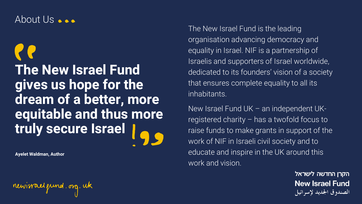#### About Us ...

## **The New Israel Fund gives us hope for the dream of a better, more equitable and thus more truly secure Israel**

**Ayelet Waldman, Author**

newisrael grund.org.uk

The New Israel Fund is the leading organisation advancing democracy and equality in Israel. NIF is a partnership of Israelis and supporters of Israel worldwide, dedicated to its founders' vision of a society that ensures complete equality to all its inhabitants.

New Israel Fund UK – an independent UKregistered charity – has a twofold focus to raise funds to make grants in support of the work of NIF in Israeli civil society and to educate and inspire in the UK around this work and vision.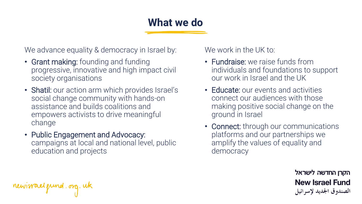## **What we do**

We advance equality & democracy in Israel by:

- Grant making: founding and funding progressive, innovative and high impact civil society organisations
- Shatil: our action arm which provides Israel's social change community with hands-on assistance and builds coalitions and empowers activists to drive meaningful change
- Public Engagement and Advocacy: campaigns at local and national level, public education and projects

We work in the UK to:

- Fundraise: we raise funds from individuals and foundations to support our work in Israel and the UK
- Educate: our events and activities connect our audiences with those making positive social change on the ground in Israel
- Connect: through our communications platforms and our partnerships we amplify the values of equality and democracy

הקרן החדשה לישראל **New Israel Fund** الصندوق الجديد لإسرائيل

newisrael gund.org.uk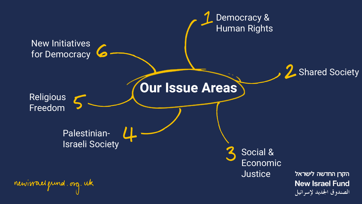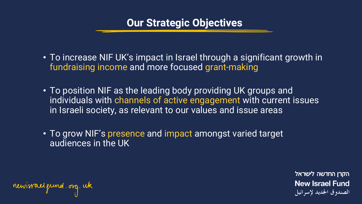#### **Our Strategic Objectives**

- To increase NIF UK's impact in Israel through a significant growth in fundraising income and more focused grant-making
- To position NIF as the leading body providing UK groups and individuals with channels of active engagement with current issues in Israeli society, as relevant to our values and issue areas
- To grow NIF's presence and impact amongst varied target audiences in the UK

newisrael grund.org.uk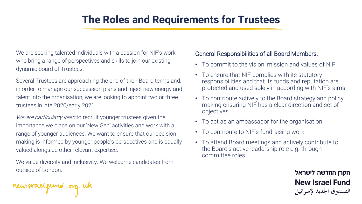## **The Roles and Requirements for Trustees**

We are seeking talented individuals with a passion for NIF's work who bring a range of perspectives and skills to join our existing dynamic board of Trustees.

Several Trustees are approaching the end of their Board terms and, in order to manage our succession plans and inject new energy and talent into the organisation, we are looking to appoint two or three trustees in late 2020/early 2021.

We are particularly keen to recruit younger trustees given the importance we place on our 'New Gen' activities and work with a range of younger audiences. We want to ensure that our decision making is informed by younger people's perspectives and is equally valued alongside other relevant expertise.

We value diversity and inclusivity. We welcome candidates from outside of London.

General Responsibilities of all Board Members:

- To commit to the vision, mission and values of NIF
- To ensure that NIF complies with its statutory responsibilities and that its funds and reputation are protected and used solely in according with NIF's aims
- To contribute actively to the Board strategy and policy making ensuring NIF has a clear direction and set of objectives
- To act as an ambassador for the organisation
- To contribute to NIF's fundraising work
- To attend Board meetings and actively contribute to the Board's active leadership role e.g. through committee roles

newisrael gund. org. uk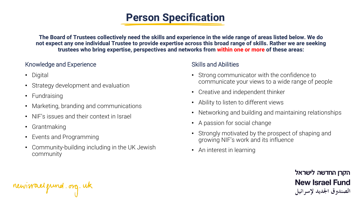## **Person Specification**

**The Board of Trustees collectively need the skills and experience in the wide range of areas listed below. We do not expect any one individual Trustee to provide expertise across this broad range of skills. Rather we are seeking trustees who bring expertise, perspectives and networks from within one or more of these areas:**

#### Knowledge and Experience

- Digital
- Strategy development and evaluation
- Fundraising
- Marketing, branding and communications
- NIF's issues and their context in Israel
- Grantmaking
- Events and Programming
- Community-building including in the UK Jewish community

#### Skills and Abilities

- Strong communicator with the confidence to communicate your views to a wide range of people
- Creative and independent thinker
- Ability to listen to different views
- Networking and building and maintaining relationships
- A passion for social change
- Strongly motivated by the prospect of shaping and growing NIF's work and its influence
- An interest in learning

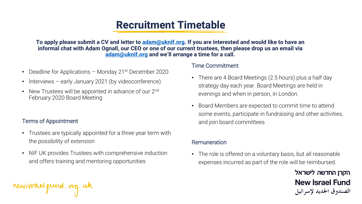## **Recruitment Timetable**

**To apply please submit a CV and letter to [adam@uknif.org.](mailto:adam@uknif.org) If you are interested and would like to have an informal chat with Adam Ognall, our CEO or one of our current trustees, then please drop us an email via [adam@uknif.org](mailto:adam@uknif.org) and we'll arrange a time for a call.**

- Deadline for Applications Monday 21 $\mathrm{st}$  December 2020
- Interviews early January 2021 (by videoconference)
- New Trustees will be appointed in advance of our 2<sup>nd</sup> February 2020 Board Meeting

#### Terms of Appointment

newisrael grund.org.uk

- Trustees are typically appointed for a three year term with the possibility of extension
- NIF UK provides Trustees with comprehensive induction and offers training and mentoring opportunities

#### Time Commitment

- There are 4 Board Meetings (2.5 hours) plus a half day strategy day each year. Board Meetings are held in evenings and when in person, in London.
- Board Members are expected to commit time to attend some events, participate in fundraising and other activities, and join board committees

#### Remuneration

• The role is offered on a voluntary basis, but all reasonable expenses incurred as part of the role will be reimbursed.